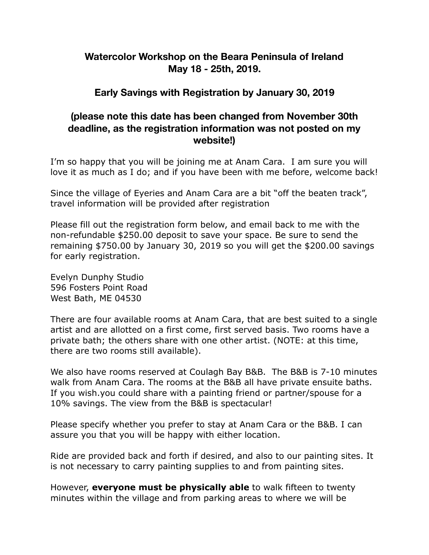# **Watercolor Workshop on the Beara Peninsula of Ireland May 18 - 25th, 2019.**

# **Early Savings with Registration by January 30, 2019**

#### **(please note this date has been changed from November 30th deadline, as the registration information was not posted on my website!)**

I'm so happy that you will be joining me at Anam Cara. I am sure you will love it as much as I do; and if you have been with me before, welcome back!

Since the village of Eyeries and Anam Cara are a bit "off the beaten track", travel information will be provided after registration

Please fill out the registration form below, and email back to me with the non-refundable \$250.00 deposit to save your space. Be sure to send the remaining \$750.00 by January 30, 2019 so you will get the \$200.00 savings for early registration.

Evelyn Dunphy Studio 596 Fosters Point Road West Bath, ME 04530

There are four available rooms at Anam Cara, that are best suited to a single artist and are allotted on a first come, first served basis. Two rooms have a private bath; the others share with one other artist. (NOTE: at this time, there are two rooms still available).

We also have rooms reserved at Coulagh Bay B&B. The B&B is 7-10 minutes walk from Anam Cara. The rooms at the B&B all have private ensuite baths. If you wish.you could share with a painting friend or partner/spouse for a 10% savings. The view from the B&B is spectacular!

Please specify whether you prefer to stay at Anam Cara or the B&B. I can assure you that you will be happy with either location.

Ride are provided back and forth if desired, and also to our painting sites. It is not necessary to carry painting supplies to and from painting sites.

However, **everyone must be physically able** to walk fifteen to twenty minutes within the village and from parking areas to where we will be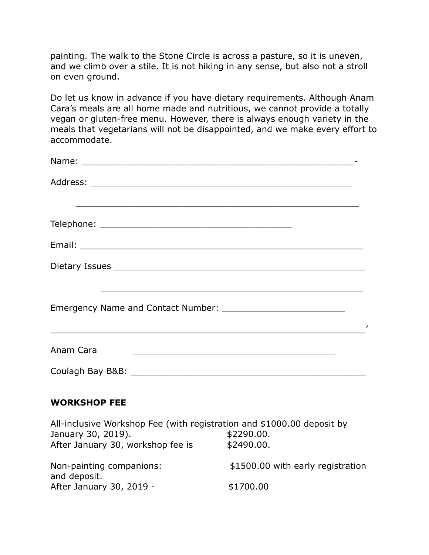painting. The walk to the Stone Circle is across a pasture, so it is uneven, and we climb over a stile. It is not hiking in any sense, but also not a stroll on even ground.

Do let us know in advance if you have dietary requirements. Although Anam Cara's meals are all home made and nutritious, we cannot provide a totally vegan or gluten-free menu. However, there is always enough variety in the meals that vegetarians will not be disappointed, and we make every effort to accommodate.

| <u> 1989 - Johann John Stone, market fan de ferskearre fan de ferskearre fan de ferskearre fan de ferskearre fan </u>                                      |
|------------------------------------------------------------------------------------------------------------------------------------------------------------|
|                                                                                                                                                            |
| <u> 2000 - Andrea Andrewski, amerikansk politik (d. 1982)</u><br>Anam Cara                                                                                 |
|                                                                                                                                                            |
| <b>WORKSHOP FEE</b>                                                                                                                                        |
| All-inclusive Workshop Fee (with registration and \$1000.00 deposit by<br>January 30, 2019).<br>\$2290.00.<br>After January 30, workshop fee is \$2490.00. |

| Non-painting companions:<br>and deposit. | \$1500.00 with early registration |
|------------------------------------------|-----------------------------------|
|                                          |                                   |
| After January 30, 2019 -                 | \$1700.00                         |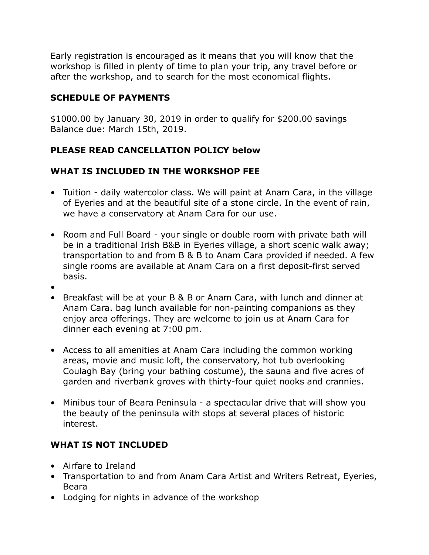Early registration is encouraged as it means that you will know that the workshop is filled in plenty of time to plan your trip, any travel before or after the workshop, and to search for the most economical flights.

#### **SCHEDULE OF PAYMENTS**

\$1000.00 by January 30, 2019 in order to qualify for \$200.00 savings Balance due: March 15th, 2019.

# **PLEASE READ CANCELLATION POLICY below**

# **WHAT IS INCLUDED IN THE WORKSHOP FEE**

- Tuition daily watercolor class. We will paint at Anam Cara, in the village of Eyeries and at the beautiful site of a stone circle. In the event of rain, we have a conservatory at Anam Cara for our use.
- Room and Full Board your single or double room with private bath will be in a traditional Irish B&B in Eyeries village, a short scenic walk away; transportation to and from B & B to Anam Cara provided if needed. A few single rooms are available at Anam Cara on a first deposit-first served basis.
- •
- Breakfast will be at your B & B or Anam Cara, with lunch and dinner at Anam Cara. bag lunch available for non-painting companions as they enjoy area offerings. They are welcome to join us at Anam Cara for dinner each evening at 7:00 pm.
- Access to all amenities at Anam Cara including the common working areas, movie and music loft, the conservatory, hot tub overlooking Coulagh Bay (bring your bathing costume), the sauna and five acres of garden and riverbank groves with thirty-four quiet nooks and crannies.
- Minibus tour of Beara Peninsula a spectacular drive that will show you the beauty of the peninsula with stops at several places of historic interest.

# **WHAT IS NOT INCLUDED**

- Airfare to Ireland
- Transportation to and from Anam Cara Artist and Writers Retreat, Eyeries, Beara
- Lodging for nights in advance of the workshop